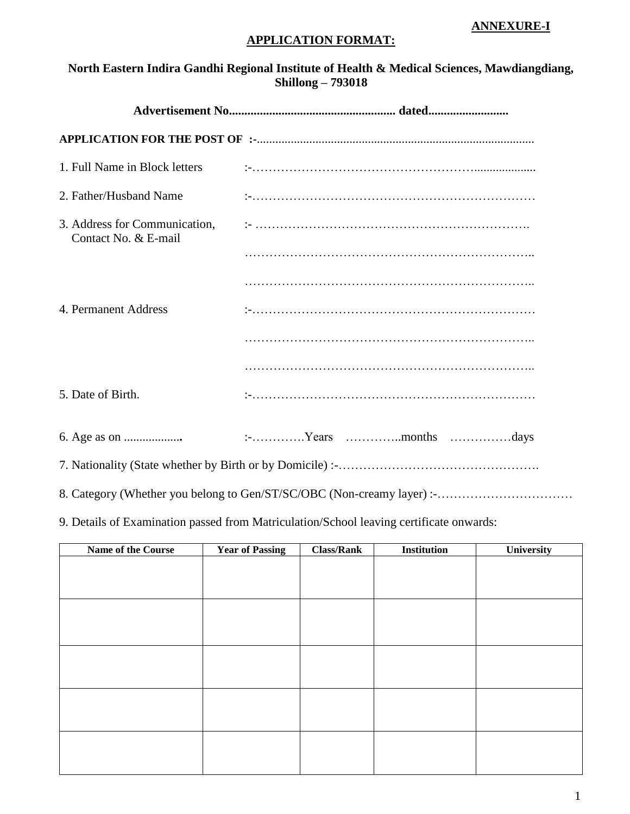#### **ANNEXURE-I**

## **APPLICATION FORMAT:**

# **North Eastern Indira Gandhi Regional Institute of Health & Medical Sciences, Mawdiangdiang, Shillong – 793018**

| 1. Full Name in Block letters                         |                                                                       |  |  |
|-------------------------------------------------------|-----------------------------------------------------------------------|--|--|
| 2. Father/Husband Name                                |                                                                       |  |  |
| 3. Address for Communication,<br>Contact No. & E-mail |                                                                       |  |  |
|                                                       |                                                                       |  |  |
|                                                       |                                                                       |  |  |
| 4. Permanent Address                                  |                                                                       |  |  |
|                                                       |                                                                       |  |  |
|                                                       |                                                                       |  |  |
| 5. Date of Birth.                                     |                                                                       |  |  |
|                                                       |                                                                       |  |  |
|                                                       |                                                                       |  |  |
|                                                       | 8. Category (Whether you belong to Gen/ST/SC/OBC (Non-creamy layer):- |  |  |

9. Details of Examination passed from Matriculation/School leaving certificate onwards:

| Name of the Course | <b>Year of Passing</b> | <b>Class/Rank</b> | Institution | University |
|--------------------|------------------------|-------------------|-------------|------------|
|                    |                        |                   |             |            |
|                    |                        |                   |             |            |
|                    |                        |                   |             |            |
|                    |                        |                   |             |            |
|                    |                        |                   |             |            |
|                    |                        |                   |             |            |
|                    |                        |                   |             |            |
|                    |                        |                   |             |            |
|                    |                        |                   |             |            |
|                    |                        |                   |             |            |
|                    |                        |                   |             |            |
|                    |                        |                   |             |            |
|                    |                        |                   |             |            |
|                    |                        |                   |             |            |
|                    |                        |                   |             |            |
|                    |                        |                   |             |            |